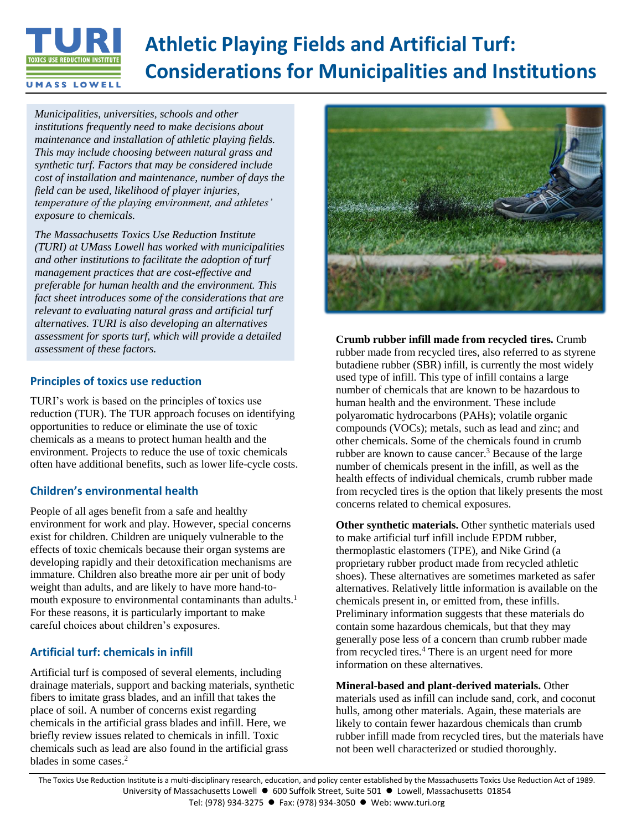# **Athletic Playing Fields and Artificial Turf: Considerations for Municipalities and InstitutionsUMASS LOWELL**

*Municipalities, universities, schools and other institutions frequently need to make decisions about maintenance and installation of athletic playing fields. This may include choosing between natural grass and synthetic turf. Factors that may be considered include cost of installation and maintenance, number of days the field can be used, likelihood of player injuries, temperature of the playing environment, and athletes' exposure to chemicals.* 

*The Massachusetts Toxics Use Reduction Institute (TURI) at UMass Lowell has worked with municipalities and other institutions to facilitate the adoption of turf management practices that are cost-effective and preferable for human health and the environment. This fact sheet introduces some of the considerations that are relevant to evaluating natural grass and artificial turf alternatives. TURI is also developing an alternatives assessment for sports turf, which will provide a detailed assessment of these factors.*

# **Principles of toxics use reduction**

TURI's work is based on the principles of toxics use reduction (TUR). The TUR approach focuses on identifying opportunities to reduce or eliminate the use of toxic chemicals as a means to protect human health and the environment. Projects to reduce the use of toxic chemicals often have additional benefits, such as lower life-cycle costs.

# **Children's environmental health**

People of all ages benefit from a safe and healthy environment for work and play. However, special concerns exist for children. Children are uniquely vulnerable to the effects of toxic chemicals because their organ systems are developing rapidly and their detoxification mechanisms are immature. Children also breathe more air per unit of body weight than adults, and are likely to have more hand-tomouth exposure to environmental contaminants than adults.<sup>1</sup> For these reasons, it is particularly important to make careful choices about children's exposures.

# **Artificial turf: chemicals in infill**

Artificial turf is composed of several elements, including drainage materials, support and backing materials, synthetic fibers to imitate grass blades, and an infill that takes the place of soil. A number of concerns exist regarding chemicals in the artificial grass blades and infill. Here, we briefly review issues related to chemicals in infill. Toxic chemicals such as lead are also found in the artificial grass blades in some cases. 2



**Crumb rubber infill made from recycled tires.** Crumb rubber made from recycled tires, also referred to as styrene butadiene rubber (SBR) infill, is currently the most widely used type of infill. This type of infill contains a large number of chemicals that are known to be hazardous to human health and the environment. These include polyaromatic hydrocarbons (PAHs); volatile organic compounds (VOCs); metals, such as lead and zinc; and other chemicals. Some of the chemicals found in crumb rubber are known to cause cancer. <sup>3</sup> Because of the large number of chemicals present in the infill, as well as the health effects of individual chemicals, crumb rubber made from recycled tires is the option that likely presents the most concerns related to chemical exposures.

**Other synthetic materials.** Other synthetic materials used to make artificial turf infill include EPDM rubber, thermoplastic elastomers (TPE), and Nike Grind (a proprietary rubber product made from recycled athletic shoes). These alternatives are sometimes marketed as safer alternatives. Relatively little information is available on the chemicals present in, or emitted from, these infills. Preliminary information suggests that these materials do contain some hazardous chemicals, but that they may generally pose less of a concern than crumb rubber made from recycled tires.<sup>4</sup> There is an urgent need for more information on these alternatives.

**Mineral-based and plant-derived materials.** Other materials used as infill can include sand, cork, and coconut hulls, among other materials. Again, these materials are likely to contain fewer hazardous chemicals than crumb rubber infill made from recycled tires, but the materials have not been well characterized or studied thoroughly.

The Toxics Use Reduction Institute is a multi-disciplinary research, education, and policy center established by the Massachusetts Toxics Use Reduction Act of 1989. University of Massachusetts Lowell ● 600 Suffolk Street, Suite 501 ● Lowell, Massachusetts 01854 Tel: (978) 934-3275 ● Fax: (978) 934-3050 ● Web: www.turi.org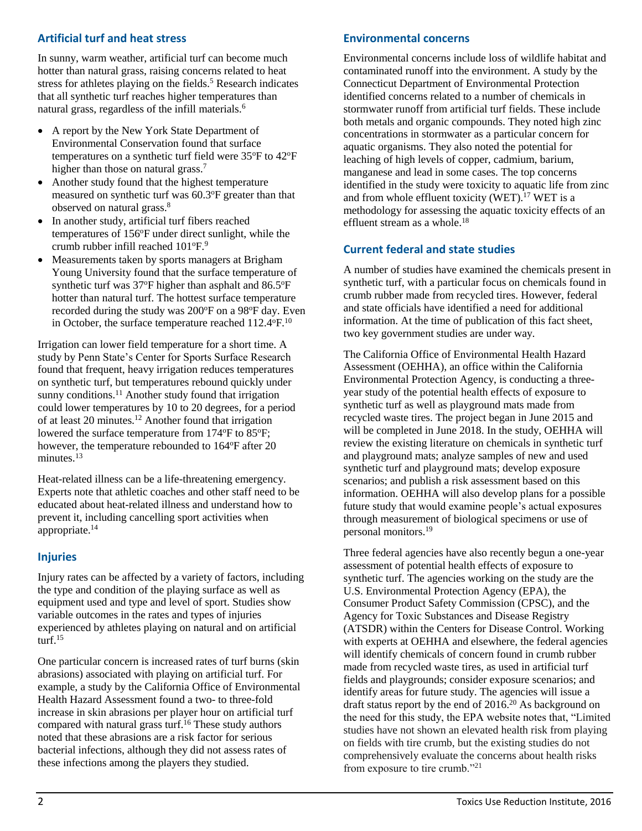# **Artificial turf and heat stress**

In sunny, warm weather, artificial turf can become much hotter than natural grass, raising concerns related to heat stress for athletes playing on the fields.<sup>5</sup> Research indicates that all synthetic turf reaches higher temperatures than natural grass, regardless of the infill materials. 6

- A report by the New York State Department of Environmental Conservation found that surface temperatures on a synthetic turf field were 35°F to 42°F higher than those on natural grass.<sup>7</sup>
- Another study found that the highest temperature measured on synthetic turf was 60.3°F greater than that observed on natural grass.<sup>8</sup>
- In another study, artificial turf fibers reached temperatures of 156°F under direct sunlight, while the crumb rubber infill reached  $101^{\circ}F$ .<sup>9</sup>
- Measurements taken by sports managers at Brigham Young University found that the surface temperature of synthetic turf was  $37^{\circ}$ F higher than asphalt and  $86.5^{\circ}$ F hotter than natural turf. The hottest surface temperature recorded during the study was 200°F on a 98°F day. Even in October, the surface temperature reached  $112.4^{\circ}$ F.<sup>10</sup>

Irrigation can lower field temperature for a short time. A study by Penn State's Center for Sports Surface Research found that frequent, heavy irrigation reduces temperatures on synthetic turf, but temperatures rebound quickly under sunny conditions.<sup>11</sup> Another study found that irrigation could lower temperatures by 10 to 20 degrees, for a period of at least 20 minutes.<sup>12</sup> Another found that irrigation lowered the surface temperature from 174°F to 85°F; however, the temperature rebounded to 164°F after 20 minutes.<sup>13</sup>

Heat-related illness can be a life-threatening emergency. Experts note that athletic coaches and other staff need to be educated about heat-related illness and understand how to prevent it, including cancelling sport activities when appropriate. 14

#### **Injuries**

Injury rates can be affected by a variety of factors, including the type and condition of the playing surface as well as equipment used and type and level of sport. Studies show variable outcomes in the rates and types of injuries experienced by athletes playing on natural and on artificial turf. $15$ 

One particular concern is increased rates of turf burns (skin abrasions) associated with playing on artificial turf. For example, a study by the California Office of Environmental Health Hazard Assessment found a two- to three-fold increase in skin abrasions per player hour on artificial turf compared with natural grass turf.<sup>16</sup> These study authors noted that these abrasions are a risk factor for serious bacterial infections, although they did not assess rates of these infections among the players they studied.

#### **Environmental concerns**

Environmental concerns include loss of wildlife habitat and contaminated runoff into the environment. A study by the Connecticut Department of Environmental Protection identified concerns related to a number of chemicals in stormwater runoff from artificial turf fields. These include both metals and organic compounds. They noted high zinc concentrations in stormwater as a particular concern for aquatic organisms. They also noted the potential for leaching of high levels of copper, cadmium, barium, manganese and lead in some cases. The top concerns identified in the study were toxicity to aquatic life from zinc and from whole effluent toxicity (WET). <sup>17</sup> WET is a methodology for assessing the aquatic toxicity effects of an effluent stream as a whole.<sup>18</sup>

#### **Current federal and state studies**

A number of studies have examined the chemicals present in synthetic turf, with a particular focus on chemicals found in crumb rubber made from recycled tires. However, federal and state officials have identified a need for additional information. At the time of publication of this fact sheet, two key government studies are under way.

The California Office of Environmental Health Hazard Assessment (OEHHA), an office within the California Environmental Protection Agency, is conducting a threeyear study of the potential health effects of exposure to synthetic turf as well as playground mats made from recycled waste tires. The project began in June 2015 and will be completed in June 2018. In the study, OEHHA will review the existing literature on chemicals in synthetic turf and playground mats; analyze samples of new and used synthetic turf and playground mats; develop exposure scenarios; and publish a risk assessment based on this information. OEHHA will also develop plans for a possible future study that would examine people's actual exposures through measurement of biological specimens or use of personal monitors.<sup>19</sup>

Three federal agencies have also recently begun a one-year assessment of potential health effects of exposure to synthetic turf. The agencies working on the study are the U.S. Environmental Protection Agency (EPA), the Consumer Product Safety Commission (CPSC), and the Agency for Toxic Substances and Disease Registry (ATSDR) within the Centers for Disease Control. Working with experts at OEHHA and elsewhere, the federal agencies will identify chemicals of concern found in crumb rubber made from recycled waste tires, as used in artificial turf fields and playgrounds; consider exposure scenarios; and identify areas for future study. The agencies will issue a draft status report by the end of  $2016<sup>20</sup>$  As background on the need for this study, the EPA website notes that, "Limited studies have not shown an elevated health risk from playing on fields with tire crumb, but the existing studies do not comprehensively evaluate the concerns about health risks from exposure to tire crumb."21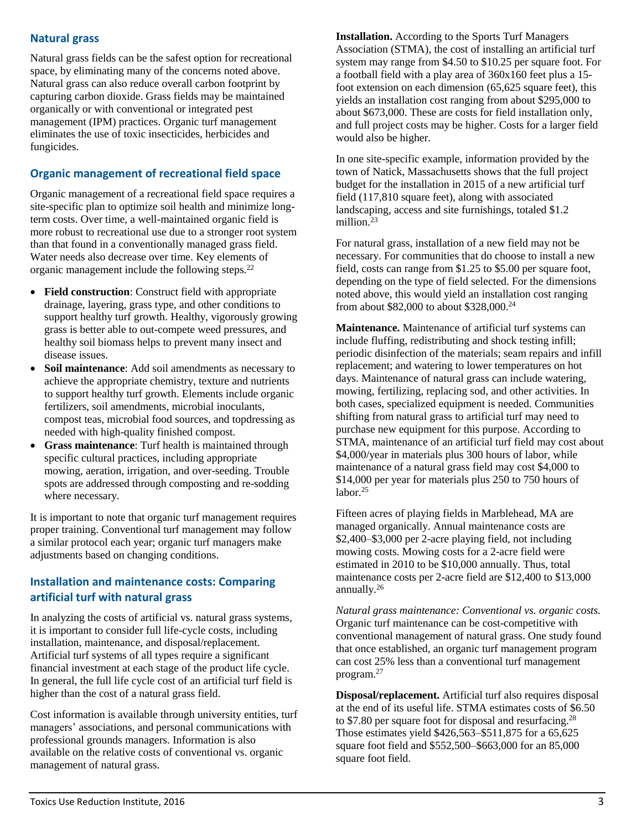# **Natural grass**

Natural grass fields can be the safest option for recreational space, by eliminating many of the concerns noted above. Natural grass can also reduce overall carbon footprint by capturing carbon dioxide. Grass fields may be maintained organically or with conventional or integrated pest management (IPM) practices. Organic turf management eliminates the use of toxic insecticides, herbicides and fungicides.

# **Organic management of recreational field space**

Organic management of a recreational field space requires a site-specific plan to optimize soil health and minimize longterm costs. Over time, a well-maintained organic field is more robust to recreational use due to a stronger root system than that found in a conventionally managed grass field. Water needs also decrease over time. Key elements of organic management include the following steps.<sup>22</sup>

- **Field construction**: Construct field with appropriate drainage, layering, grass type, and other conditions to support healthy turf growth. Healthy, vigorously growing grass is better able to out-compete weed pressures, and healthy soil biomass helps to prevent many insect and disease issues.
- **Soil maintenance**: Add soil amendments as necessary to achieve the appropriate chemistry, texture and nutrients to support healthy turf growth. Elements include organic fertilizers, soil amendments, microbial inoculants, compost teas, microbial food sources, and topdressing as needed with high-quality finished compost.
- **Grass maintenance**: Turf health is maintained through specific cultural practices, including appropriate mowing, aeration, irrigation, and over-seeding. Trouble spots are addressed through composting and re-sodding where necessary.

It is important to note that organic turf management requires proper training. Conventional turf management may follow a similar protocol each year; organic turf managers make adjustments based on changing conditions.

### **Installation and maintenance costs: Comparing artificial turf with natural grass**

In analyzing the costs of artificial vs. natural grass systems, it is important to consider full life-cycle costs, including installation, maintenance, and disposal/replacement. Artificial turf systems of all types require a significant financial investment at each stage of the product life cycle. In general, the full life cycle cost of an artificial turf field is higher than the cost of a natural grass field.

Cost information is available through university entities, turf managers' associations, and personal communications with professional grounds managers. Information is also available on the relative costs of conventional vs. organic management of natural grass.

**Installation.** According to the Sports Turf Managers Association (STMA), the cost of installing an artificial turf system may range from \$4.50 to \$10.25 per square foot. For a football field with a play area of 360x160 feet plus a 15 foot extension on each dimension (65,625 square feet), this yields an installation cost ranging from about \$295,000 to about \$673,000. These are costs for field installation only, and full project costs may be higher. Costs for a larger field would also be higher.

In one site-specific example, information provided by the town of Natick, Massachusetts shows that the full project budget for the installation in 2015 of a new artificial turf field (117,810 square feet), along with associated landscaping, access and site furnishings, totaled \$1.2 million.<sup>23</sup>

For natural grass, installation of a new field may not be necessary. For communities that do choose to install a new field, costs can range from \$1.25 to \$5.00 per square foot, depending on the type of field selected. For the dimensions noted above, this would yield an installation cost ranging from about \$82,000 to about \$328,000.<sup>24</sup>

**Maintenance.** Maintenance of artificial turf systems can include fluffing, redistributing and shock testing infill; periodic disinfection of the materials; seam repairs and infill replacement; and watering to lower temperatures on hot days. Maintenance of natural grass can include watering, mowing, fertilizing, replacing sod, and other activities. In both cases, specialized equipment is needed. Communities shifting from natural grass to artificial turf may need to purchase new equipment for this purpose. According to STMA, maintenance of an artificial turf field may cost about \$4,000/year in materials plus 300 hours of labor, while maintenance of a natural grass field may cost \$4,000 to \$14,000 per year for materials plus 250 to 750 hours of labor.<sup>25</sup>

Fifteen acres of playing fields in Marblehead, MA are managed organically. Annual maintenance costs are \$2,400–\$3,000 per 2-acre playing field, not including mowing costs. Mowing costs for a 2-acre field were estimated in 2010 to be \$10,000 annually. Thus, total maintenance costs per 2-acre field are \$12,400 to \$13,000 annually.<sup>26</sup>

*Natural grass maintenance: Conventional vs. organic costs.* Organic turf maintenance can be cost-competitive with conventional management of natural grass. One study found that once established, an organic turf management program can cost 25% less than a conventional turf management program.<sup>27</sup>

**Disposal/replacement.** Artificial turf also requires disposal at the end of its useful life. STMA estimates costs of \$6.50 to \$7.80 per square foot for disposal and resurfacing.<sup>28</sup> Those estimates yield \$426,563–\$511,875 for a 65,625 square foot field and \$552,500–\$663,000 for an 85,000 square foot field.